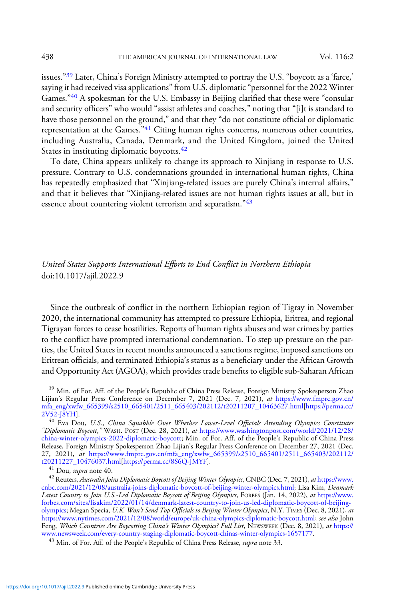issues."<sup>39</sup> Later, China's Foreign Ministry attempted to portray the U.S. "boycott as a 'farce,' saying it had received visa applications" from U.S. diplomatic "personnel for the 2022 Winter Games."<sup>40</sup> A spokesman for the U.S. Embassy in Beijing clarified that these were "consular and security officers" who would "assist athletes and coaches," noting that "[i]t is standard to have those personnel on the ground," and that they "do not constitute official or diplomatic representation at the Games.<sup>"41</sup> Citing human rights concerns, numerous other countries, including Australia, Canada, Denmark, and the United Kingdom, joined the United States in instituting diplomatic boycotts.<sup>42</sup>

To date, China appears unlikely to change its approach to Xinjiang in response to U.S. pressure. Contrary to U.S. condemnations grounded in international human rights, China has repeatedly emphasized that "Xinjiang-related issues are purely China's internal affairs," and that it believes that "Xinjiang-related issues are not human rights issues at all, but in essence about countering violent terrorism and separatism."<sup>43</sup>

## United States Supports International Efforts to End Conflict in Northern Ethiopia doi:10.1017/ajil.2022.9

Since the outbreak of conflict in the northern Ethiopian region of Tigray in November 2020, the international community has attempted to pressure Ethiopia, Eritrea, and regional Tigrayan forces to cease hostilities. Reports of human rights abuses and war crimes by parties to the conflict have prompted international condemnation. To step up pressure on the parties, the United States in recent months announced a sanctions regime, imposed sanctions on Eritrean officials, and terminated Ethiopia's status as a beneficiary under the African Growth and Opportunity Act (AGOA), which provides trade benefits to eligible sub-Saharan African

<sup>39</sup> Min. of For. Aff. of the People's Republic of China Press Release, Foreign Ministry Spokesperson Zhao Lijian's Regular Press Conference on December 7, 2021 (Dec. 7, 2021), at [https://www.fmprc.gov.cn/](https://www.fmprc.gov.cn/mfa_eng/xwfw_665399/s2510_665401/2511_665403/202112/t20211207_10463627.html) [mfa\\_eng/xwfw\\_665399/s2510\\_665401/2511\\_665403/202112/t20211207\\_10463627.html](https://www.fmprc.gov.cn/mfa_eng/xwfw_665399/s2510_665401/2511_665403/202112/t20211207_10463627.html)[\[https://perma.cc/](https://perma.cc/2V52-J8YH)

[2V52-J8YH](https://perma.cc/2V52-J8YH)].<br><sup>40</sup> Eva Dou, U.S., China Squabble Over Whether Lower-Level Officials Attending Olympics Constitutes "Diplomatic Boycott," WASH. POST (Dec. 28, 2021), at [https://www.washingtonpost.com/world/2021/12/28/](https://www.washingtonpost.com/world/2021/12/28/china-winter-olympics-2022-diplomatic-boycott/) [china-winter-olympics-2022-diplomatic-boycott](https://www.washingtonpost.com/world/2021/12/28/china-winter-olympics-2022-diplomatic-boycott/); Min. of For. Aff. of the People's Republic of China Press Release, Foreign Ministry Spokesperson Zhao Lijian's Regular Press Conference on December 27, 2021 (Dec. 27, 2021), at [https://www.fmprc.gov.cn/mfa\\_eng/xwfw\\_665399/s2510\\_665401/2511\\_665403/202112/](https://www.fmprc.gov.cn/mfa_eng/xwfw_665399/s2510_665401/2511_665403/202112/t20211227_10476037.html)

 $\begin{array}{l} ^{41}$  Dou, supra note 40.  $^{42}$  Reuters, Australia Joins Diplomatic Boycott of Beijing Winter Olympics, CNBC (Dec. 7, 2021), at [https://www.](https://www.cnbc.com/2021/12/08/australia-joins-diplomatic-boycott-of-beijing-winter-olympics.html) [cnbc.com/2021/12/08/australia-joins-diplomatic-boycott-of-beijing-winter-olympics.html;](https://www.cnbc.com/2021/12/08/australia-joins-diplomatic-boycott-of-beijing-winter-olympics.html) Lisa Kim, Denmark Latest Country to Join U.S.-Led Diplomatic Boycott of Beijing Olympics, FORBES (Jan. 14, 2022), at [https://www.](https://www.forbes.com/sites/lisakim/2022/01/14/denmark-latest-country-to-join-us-led-diplomatic-boycott-of-beijing-olympics/) [forbes.com/sites/lisakim/2022/01/14/denmark-latest-country-to-join-us-led-diplomatic-boycott-of-beijing](https://www.forbes.com/sites/lisakim/2022/01/14/denmark-latest-country-to-join-us-led-diplomatic-boycott-of-beijing-olympics/)[olympics;](https://www.forbes.com/sites/lisakim/2022/01/14/denmark-latest-country-to-join-us-led-diplomatic-boycott-of-beijing-olympics/) Megan Specia, U.K. Won't Send Top Officials to Beijing Winter Olympics, N.Y. TIMES (Dec. 8, 2021), at [https://www.nytimes.com/2021/12/08/world/europe/uk-china-olympics-diplomatic-boycott.html;](https://www.nytimes.com/2021/12/08/world/europe/uk-china-olympics-diplomatic-boycott.html) see also John Feng, *Which Countries Are Boycotting China's Winter Olympics? Full List*, NEwswEEK (Dec. 8, 2021), *at* [https://](https://www.newsweek.com/every-country-staging-diplomatic-boycott-chinas-winter-olympics-1657177) [www.newsweek.com/every-country-staging-diplomatic-boycott-chinas-winter-olympics-1657177.](https://www.newsweek.com/every-country-staging-diplomatic-boycott-chinas-winter-olympics-1657177)<br><sup>43</sup> Min. of For. Aff. of the People's Republic of China Press Release, *supra* note 33.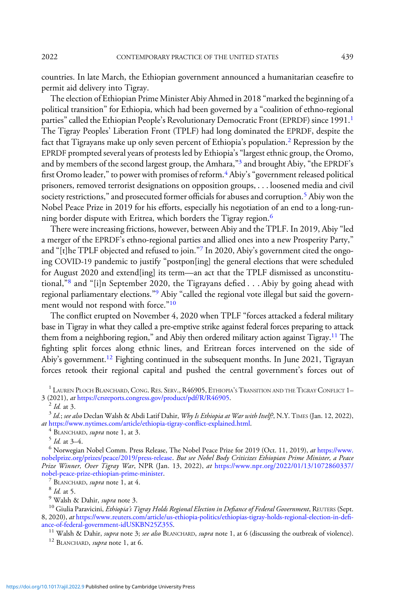countries. In late March, the Ethiopian government announced a humanitarian ceasefire to permit aid delivery into Tigray.

The election of Ethiopian Prime Minister Abiy Ahmed in 2018 "marked the beginning of a political transition" for Ethiopia, which had been governed by a "coalition of ethno-regional parties" called the Ethiopian People's Revolutionary Democratic Front (EPRDF) since 1991.<sup>1</sup> The Tigray Peoples' Liberation Front (TPLF) had long dominated the EPRDF, despite the fact that Tigrayans make up only seven percent of Ethiopia's population.<sup>2</sup> Repression by the EPRDF prompted several years of protests led by Ethiopia's"largest ethnic group, the Oromo, and by members of the second largest group, the Amhara,"<sup>3</sup> and brought Abiy, "the EPRDF's first Oromo leader," to power with promises of reform.<sup>4</sup> Abiy's "government released political prisoners, removed terrorist designations on opposition groups, . . . loosened media and civil society restrictions," and prosecuted former officials for abuses and corruption.<sup>5</sup> Abiy won the Nobel Peace Prize in 2019 for his efforts, especially his negotiation of an end to a long-running border dispute with Eritrea, which borders the Tigray region.<sup>6</sup>

There were increasing frictions, however, between Abiy and the TPLF. In 2019, Abiy "led a merger of the EPRDF's ethno-regional parties and allied ones into a new Prosperity Party," and "[t]he TPLF objected and refused to join."<sup>7</sup> In 2020, Abiy's government cited the ongoing COVID-19 pandemic to justify "postpon[ing] the general elections that were scheduled for August 2020 and extend[ing] its term—an act that the TPLF dismissed as unconstitutional,"<sup>8</sup> and "[i]n September 2020, the Tigrayans defied  $\dots$  Abiy by going ahead with regional parliamentary elections."<sup>9</sup> Abiy "called the regional vote illegal but said the government would not respond with force."<sup>10</sup>

The conflict erupted on November 4, 2020 when TPLF "forces attacked a federal military base in Tigray in what they called a pre-emptive strike against federal forces preparing to attack them from a neighboring region," and Abiy then ordered military action against Tigray.<sup>11</sup> The fighting split forces along ethnic lines, and Eritrean forces intervened on the side of Abiy's government.<sup>12</sup> Fighting continued in the subsequent months. In June 2021, Tigrayan forces retook their regional capital and pushed the central government's forces out of

<sup>1</sup> LAUREN PLOCH BLANCHARD, CONG. RES. SERV., R46905, ETHIOPIA'S TRANSITION AND THE TIGRAY CONFLICT 1–3 (2021), *at* https://crsreports.congress.gov/product/pdf/R/R46905.

<sup>2</sup> Id. at 3.<br><sup>3</sup> Id.; see also Declan Walsh & Abdi Latif Dahir, *Why Is Ethiopia at War with Itself?*, N.Y. TIMES (Jan. 12, 2022), at https://www.nytimes.com/article/ethiopia-tigray-conflict-explained.html.

<sup>4</sup> BLANCHARD, *supra* note 1, at 3.<br><sup>5</sup> Id. at 3–4.<br><sup>6</sup> Norwegian Nobel Comm. Press Release, The Nobel Peace Prize for 2019 (Oct. 11, 2019), *at* [https://www.](https://www.nobelprize.org/prizes/peace/2019/press-release) [nobelprize.org/prizes/peace/2019/press-release.](https://www.nobelprize.org/prizes/peace/2019/press-release) But see Nobel Body Criticizes Ethiopian Prime Minister, a Peace Prize Winner, Over Tigray War, NPR (Jan. 13, 2022), at [https://www.npr.org/2022/01/13/1072860337/](https://www.npr.org/2022/01/13/1072860337/nobel-peace-prize-ethiopian-prime-minister)<br>nobel-peace-prize-ethiopian-prime-minister.

<sup>7</sup> BLANCHARD, *supra* note 1, at 4.<br><sup>8</sup> *Id.* at 5.<br><sup>9</sup> Walsh & Dahir, *supra* note 3.<br><sup>10</sup> Giulia Paravicini, *Ethiopia's Tigray Holds Regional Election in Defiance of Federal Government*, REUTERS (Sept. 8, 2020), at [https://www.reuters.com/article/us-ethiopia-politics/ethiopias-tigray-holds-regional-election-in-de](https://www.reuters.com/article/us-ethiopia-politics/ethiopias-tigray-holds-regional-election-in-defiance-of-federal-government-idUSKBN25Z35S)fi-

<sup>11</sup> Walsh & Dahir, supra note 3; see also BLANCHARD, supra note 1, at 6 (discussing the outbreak of violence). <sup>12</sup> BLANCHARD, supra note 1, at 6.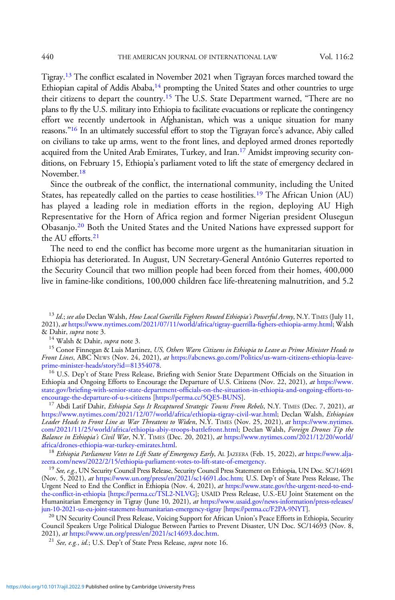Tigray.13 The conflict escalated in November 2021 when Tigrayan forces marched toward the Ethiopian capital of Addis Ababa, $14$  prompting the United States and other countries to urge their citizens to depart the country.<sup>15</sup> The U.S. State Department warned, "There are no plans to fly the U.S. military into Ethiopia to facilitate evacuations or replicate the contingency effort we recently undertook in Afghanistan, which was a unique situation for many reasons."<sup>16</sup> In an ultimately successful effort to stop the Tigrayan force's advance, Abiy called on civilians to take up arms, went to the front lines, and deployed armed drones reportedly acquired from the United Arab Emirates, Turkey, and Iran.<sup>17</sup> Amidst improving security conditions, on February 15, Ethiopia's parliament voted to lift the state of emergency declared in November.<sup>18</sup>

Since the outbreak of the conflict, the international community, including the United States, has repeatedly called on the parties to cease hostilities.<sup>19</sup> The African Union (AU) has played a leading role in mediation efforts in the region, deploying AU High Representative for the Horn of Africa region and former Nigerian president Olusegun Obasanjo.<sup>20</sup> Both the United States and the United Nations have expressed support for the AU efforts.<sup>21</sup>

The need to end the conflict has become more urgent as the humanitarian situation in Ethiopia has deteriorated. In August, UN Secretary-General António Guterres reported to the Security Council that two million people had been forced from their homes, 400,000 live in famine-like conditions, 100,000 children face life-threatening malnutrition, and 5.2

<sup>14</sup> Walsh & Dahir, *supra* note 3.<br><sup>15</sup> Conor Finnegan & Luis Martinez, *US, Others Warn Citizens in Ethiopia to Leave as Prime Minister Heads to* Front Lines, ABC NEWS (Nov. 24, 2021), at [https://abcnews.go.com/Politics/us-warn-citizens-ethiopia-leave-](https://abcnews.go.com/Politics/us-warn-citizens-ethiopia-leave-prime-minister-heads/story?id=81354078)

<sup>16</sup> U.S. Dep't of State Press Release, Briefing with Senior State Department Officials on the Situation in Ethiopia and Ongoing Efforts to Encourage the Departure of U.S. Citizens (Nov. 22, 2021), at [https://www.](https://www.state.gov/briefing-with-senior-state-department-officials-on-the-situation-in-ethiopia-and-ongoing-efforts-to-encourage-the-departure-of-u-s-citizens/) state.gov/briefing-with-senior-state-department-offi[cials-on-the-situation-in-ethiopia-and-ongoing-efforts-to-](https://www.state.gov/briefing-with-senior-state-department-officials-on-the-situation-in-ethiopia-and-ongoing-efforts-to-encourage-the-departure-of-u-s-citizens/)

<sup>17</sup> Abdi Latif Dahir, Ethiopia Says It Recaptured Strategic Towns From Rebels, N.Y. TIMES (Dec. 7, 2021), at [https://www.nytimes.com/2021/12/07/world/africa/ethiopia-tigray-civil-war.html;](https://www.nytimes.com/2021/12/07/world/africa/ethiopia-tigray-civil-war.html) Declan Walsh, Ethiopian Leader Heads to Front Line as War Threatens to Widen, N.Y. TIMES (Nov. 25, 2021), at [https://www.nytimes.](https://www.nytimes.com/2021/11/25/world/africa/ethiopia-abiy-troops-battlefront.html) [com/2021/11/25/world/africa/ethiopia-abiy-troops-battlefront.html](https://www.nytimes.com/2021/11/25/world/africa/ethiopia-abiy-troops-battlefront.html); Declan Walsh, Foreign Drones Tip the Balance in Ethiopia's Civil War, N.Y. TIMES (Dec. 20, 2021), at [https://www.nytimes.com/2021/12/20/world/](https://www.nytimes.com/2021/12/20/world/africa/drones-ethiopia-war-turkey-emirates.html)<br>africa/drones-ethiopia-war-turkey-emirates.html.

<sup>18</sup> Ethiopia Parliament Votes to Lift State of Emergency Early, AL JAZEERA (Feb. 15, 2022), at https://www.alja-<br>zeera.com/news/2022/2/15/ethiopia-parliament-votes-to-lift-state-of-emergency.

<sup>19</sup> See, e.g., UN Security Council Press Release, Security Council Press Statement on Ethiopia, UN Doc. SC/14691 (Nov. 5, 2021), at [https://www.un.org/press/en/2021/sc14691.doc.htm;](https://www.un.org/press/en/2021/sc14691.doc.htm) U.S. Dep't of State Press Release, The Urgent Need to End the Conflict in Ethiopia (Nov. 4, 2021), at [https://www.state.gov/the-urgent-need-to-end](https://www.state.gov/the-urgent-need-to-end-the-conflict-in-ethiopia)the-confl[ict-in-ethiopia](https://www.state.gov/the-urgent-need-to-end-the-conflict-in-ethiopia) [\[https://perma.cc/TSL2-NLVG\]](https://perma.cc/TSL2-NLVG); USAID Press Release, U.S.-EU Joint Statement on the Humanitarian Emergency in Tigray (June 10, 2021), at [https://www.usaid.gov/news-information/press-releases/](https://www.usaid.gov/news-information/press-releases/jun-10-2021-us-eu-joint-statement-humanitarian-emergency-tigray)<br>jun-10-2021-us-eu-joint-statement-humanitarian-emergency-tigray [https://perma.cc/F2PA-9NYT].

<sup>20</sup> UN Security Council Press Release, Voicing Support for African Union's Peace Efforts in Ethiopia, Security Council Speakers Urge Political Dialogue Between Parties to Prevent Disaster, UN Doc. SC/14693 (Nov. 8,<br>2021), *at* https://www.un.org/press/en/2021/sc14693.doc.htm.

<sup>21</sup> See, e.g., id.; U.S. Dep't of State Press Release, supra note 16.

 $^{13}$  Id.; see also Declan Walsh, How Local Guerilla Fighters Routed Ethiopia's Powerful Army, N.Y. TIMES (July 11, 2021), at [https://www.nytimes.com/2021/07/11/world/africa/tigray-guerrilla-](https://www.nytimes.com/2021/07/11/world/africa/tigray-guerrilla-fighers-ethiopia-army.html)fighers-ethiopia-army.html; Walsh & Dahir, *supra* note 3.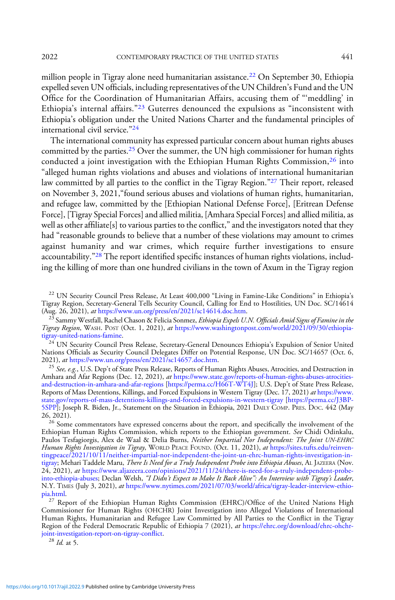million people in Tigray alone need humanitarian assistance.<sup>22</sup> On September 30, Ethiopia expelled seven UN officials, including representatives of the UN Children's Fund and the UN Office for the Coordination of Humanitarian Affairs, accusing them of "'meddling' in Ethiopia's internal affairs."<sup>23</sup> Guterres denounced the expulsions as "inconsistent with Ethiopia's obligation under the United Nations Charter and the fundamental principles of international civil service."<sup>24</sup>

The international community has expressed particular concern about human rights abuses committed by the parties.<sup>25</sup> Over the summer, the UN high commissioner for human rights conducted a joint investigation with the Ethiopian Human Rights Commission, $^{26}$  into "alleged human rights violations and abuses and violations of international humanitarian law committed by all parties to the conflict in the Tigray Region."<sup>27</sup> Their report, released on November 3, 2021,"found serious abuses and violations of human rights, humanitarian, and refugee law, committed by the [Ethiopian National Defense Force], [Eritrean Defense Force], [Tigray Special Forces] and allied militia, [Amhara Special Forces] and allied militia, as well as other affiliate [s] to various parties to the conflict," and the investigators noted that they had "reasonable grounds to believe that a number of these violations may amount to crimes against humanity and war crimes, which require further investigations to ensure accountability."<sup>28</sup> The report identified specific instances of human rights violations, including the killing of more than one hundred civilians in the town of Axum in the Tigray region

<sup>22</sup> UN Security Council Press Release, At Least 400,000 "Living in Famine-Like Conditions" in Ethiopia's Tigray Region, Secretary-General Tells Security Council, Calling for End to Hostilities, UN Doc. SC/14614 (Aug. 26, 2021), at https://www.un.org/press/en/2021/sc14614.doc.htm.

<sup>23</sup> Sammy Westfall, Rachel Chason & Felicia Sonmez, *Ethiopia Expels U.N. Officials Amid Signs of Famine in the* Tigray Region, WASH. POST (Oct. 1, 2021), at https://www.washingtonpost.com/world/2021/09/30/ethiopia-<br>tigray-united-nations-famine.

 $t^{\gamma_{24}}$ UN Security Council Press Release, Secretary-General Denounces Ethiopia's Expulsion of Senior United Nations Officials as Security Council Delegates Differ on Potential Response, UN Doc. SC/14657 (Oct. 6,<br>2021), *at* https://www.un.org/press/en/2021/sc14657.doc.htm.

<sup>25</sup> See, e.g., U.S. Dep't of State Press Release, Reports of Human Rights Abuses, Atrocities, and Destruction in Amhara and Afar Regions (Dec. 12, 2021), at [https://www.state.gov/reports-of-human-rights-abuses-atrocities](https://www.state.gov/reports-of-human-rights-abuses-atrocities-and-destruction-in-amhara-and-afar-regions/)[and-destruction-in-amhara-and-afar-regions](https://www.state.gov/reports-of-human-rights-abuses-atrocities-and-destruction-in-amhara-and-afar-regions/) [[https://perma.cc/H66T-WT4J\]](https://perma.cc/H66T-WT4J); U.S. Dep't of State Press Release, Reports of Mass Detentions, Killings, and Forced Expulsions in Western Tigray (Dec. 17, 2021) at [https://www.](https://www.state.gov/reports-of-mass-detentions-killings-and-forced-expulsions-in-western-tigray) [state.gov/reports-of-mass-detentions-killings-and-forced-expulsions-in-western-tigray](https://www.state.gov/reports-of-mass-detentions-killings-and-forced-expulsions-in-western-tigray) [\[https://perma.cc/J3BP-](https://perma.cc/J3BP-5SPP)[5SPP\]](https://perma.cc/J3BP-5SPP); Joseph R. Biden, Jr., Statement on the Situation in Ethiopia, 2021 DAILY COMP. PRES. DOC. 442 (May

26, 2021). <sup>26</sup> Some commentators have expressed concerns about the report, and specifically the involvement of the Ethiopian Human Rights Commission, which reports to the Ethiopian government. See Chidi Odinkalu, Paulos Tesfagiorgis, Alex de Waal & Delia Burns, Neither Impartial Nor Independent: The Joint UN-EHRC Human Rights Investigation in Tigray, WORLD PEACE FOUND. (Oct. 11, 2021), at [https://sites.tufts.edu/reinven](https://sites.tufts.edu/reinventingpeace/2021/10/11/neither-impartial-nor-independent-the-joint-un-ehrc-human-rights-investigation-in-tigray/)[tingpeace/2021/10/11/neither-impartial-nor-independent-the-joint-un-ehrc-human-rights-investigation-in](https://sites.tufts.edu/reinventingpeace/2021/10/11/neither-impartial-nor-independent-the-joint-un-ehrc-human-rights-investigation-in-tigray/)[tigray](https://sites.tufts.edu/reinventingpeace/2021/10/11/neither-impartial-nor-independent-the-joint-un-ehrc-human-rights-investigation-in-tigray/); Mehari Taddele Maru, There Is Need for a Truly Independent Probe into Ethiopia Abuses, AL JAZEERA (Nov. 24, 2021), at [https://www.aljazeera.com/opinions/2021/11/24/there-is-need-for-a-truly-independent-probe](https://www.aljazeera.com/opinions/2021/11/24/there-is-need-for-a-truly-independent-probe-into-ethiopia-abuses)[into-ethiopia-abuses](https://www.aljazeera.com/opinions/2021/11/24/there-is-need-for-a-truly-independent-probe-into-ethiopia-abuses); Declan Welsh, "I Didn't Expect to Make It Back Alive": An Interview with Tigray's Leader, N.Y. TIMES (July 3, 2021), at https://www.nytimes.com/2021/07/03/world/africa/tigray-leader-interview-ethio-<br>pia.html.

<sup>27</sup> Report of the Ethiopian Human Rights Commission (EHRC)/Office of the United Nations High Commissioner for Human Rights (OHCHR) Joint Investigation into Alleged Violations of International Human Rights, Humanitarian and Refugee Law Committed by All Parties to the Conflict in the Tigray Region of the Federal Democratic Republic of Ethiopia 7 (2021), at [https://ehrc.org/download/ehrc-ohchr](https://ehrc.org/download/ehrc-ohchr-joint-investigation-report-on-tigray-conflict)[joint-investigation-report-on-tigray-con](https://ehrc.org/download/ehrc-ohchr-joint-investigation-report-on-tigray-conflict)flict.<br><sup>28</sup> *Id.* at 5.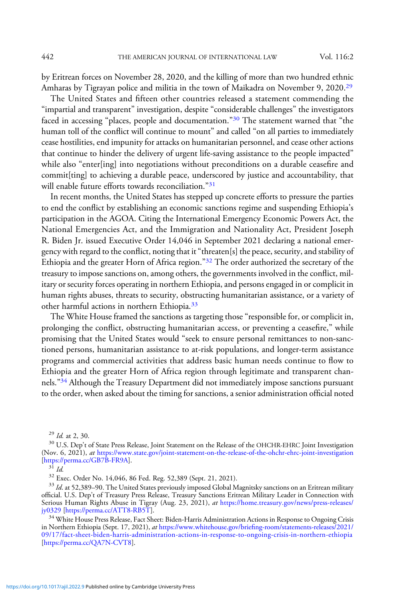by Eritrean forces on November 28, 2020, and the killing of more than two hundred ethnic Amharas by Tigrayan police and militia in the town of Maikadra on November 9, 2020.29

The United States and fifteen other countries released a statement commending the "impartial and transparent" investigation, despite "considerable challenges" the investigators faced in accessing "places, people and documentation."<sup>30</sup> The statement warned that "the human toll of the conflict will continue to mount" and called "on all parties to immediately cease hostilities, end impunity for attacks on humanitarian personnel, and cease other actions that continue to hinder the delivery of urgent life-saving assistance to the people impacted" while also "enter[ing] into negotiations without preconditions on a durable ceasefire and commit[ting] to achieving a durable peace, underscored by justice and accountability, that will enable future efforts towards reconciliation."31

In recent months, the United States has stepped up concrete efforts to pressure the parties to end the conflict by establishing an economic sanctions regime and suspending Ethiopia's participation in the AGOA. Citing the International Emergency Economic Powers Act, the National Emergencies Act, and the Immigration and Nationality Act, President Joseph R. Biden Jr. issued Executive Order 14,046 in September 2021 declaring a national emergency with regard to the conflict, noting that it"threaten[s] the peace, security, and stability of Ethiopia and the greater Horn of Africa region."<sup>32</sup> The order authorized the secretary of the treasury to impose sanctions on, among others, the governments involved in the conflict, military or security forces operating in northern Ethiopia, and persons engaged in or complicit in human rights abuses, threats to security, obstructing humanitarian assistance, or a variety of other harmful actions in northern Ethiopia.<sup>33</sup>

The White House framed the sanctions as targeting those "responsible for, or complicit in, prolonging the conflict, obstructing humanitarian access, or preventing a ceasefire," while promising that the United States would "seek to ensure personal remittances to non-sanctioned persons, humanitarian assistance to at-risk populations, and longer-term assistance programs and commercial activities that address basic human needs continue to flow to Ethiopia and the greater Horn of Africa region through legitimate and transparent channels."<sup>34</sup> Although the Treasury Department did not immediately impose sanctions pursuant to the order, when asked about the timing for sanctions, a senior administration official noted

 $^{29}$  *Id.* at 2, 30.<br><sup>30</sup> U.S. Dep't of State Press Release, Joint Statement on the Release of the OHCHR-EHRC Joint Investigation (Nov. 6, 2021), *at* <https://www.state.gov/joint-statement-on-the-release-of-the-ohchr-ehrc-joint-investigation><br>[https://perma.cc/GB7B-FR9A].<br> $^{31}$  *Id.* 

<sup>&</sup>lt;sup>32</sup> Exec. Order No. 14,046, 86 Fed. Reg. 52,389 (Sept. 21, 2021).  $33$  Id. at 52,389–90. The United States previously imposed Global Magnitsky sanctions on an Eritrean military official. U.S. Dep't of Treasury Press Release, Treasury Sanctions Eritrean Military Leader in Connection with Serious Human Rights Abuse in Tigray (Aug. 23, 2021), at [https://home.treasury.gov/news/press-releases/](https://home.treasury.gov/news/press-releases/jy0329) [jy0329](https://home.treasury.gov/news/press-releases/jy0329) [\[https://perma.cc/ATT8-RB5T\]](https://perma.cc/ATT8-RB5T).

<sup>&</sup>lt;sup>34</sup> White House Press Release, Fact Sheet: Biden-Harris Administration Actions in Response to Ongoing Crisis in Northern Ethiopia (Sept. 17, 2021), at [https:/](https://www.whitehouse.gov/briefing-room/statements-releases/2021/09/17/fact-sheet-biden-harris-administration-actions-in-response-to-ongoing-crisis-in-northern-ethiopia/)/www.whitehouse.gov/briefi[ng-room/statements-releases/2021/](https://www.whitehouse.gov/briefing-room/statements-releases/2021/09/17/fact-sheet-biden-harris-administration-actions-in-response-to-ongoing-crisis-in-northern-ethiopia/) [09/17/fact-sheet-biden-harris-administration-actions-in-response-to-ongoing-crisis-in-northern-ethiopia](https://www.whitehouse.gov/briefing-room/statements-releases/2021/09/17/fact-sheet-biden-harris-administration-actions-in-response-to-ongoing-crisis-in-northern-ethiopia/) [[https://perma.cc/QA7N-CVT8\]](https://perma.cc/QA7N-CVT8).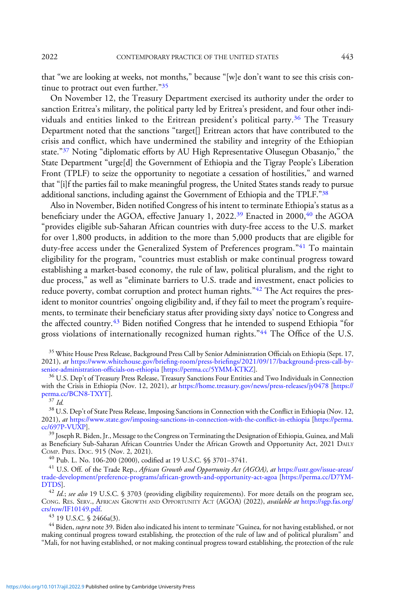2022 CONTEMPORARY PRACTICE OF THE UNITED STATES 443

that "we are looking at weeks, not months," because "[w]e don't want to see this crisis continue to protract out even further."<sup>35</sup>

On November 12, the Treasury Department exercised its authority under the order to sanction Eritrea's military, the political party led by Eritrea's president, and four other individuals and entities linked to the Eritrean president's political party.<sup>36</sup> The Treasury Department noted that the sanctions "target[] Eritrean actors that have contributed to the crisis and conflict, which have undermined the stability and integrity of the Ethiopian state."<sup>37</sup> Noting "diplomatic efforts by AU High Representative Olusegun Obasanjo," the State Department "urge[d] the Government of Ethiopia and the Tigray People's Liberation Front (TPLF) to seize the opportunity to negotiate a cessation of hostilities," and warned that "[i]f the parties fail to make meaningful progress, the United States stands ready to pursue additional sanctions, including against the Government of Ethiopia and the TPLF."<sup>38</sup>

Also in November, Biden notified Congress of his intent to terminate Ethiopia's status as a beneficiary under the AGOA, effective January 1, 2022.<sup>39</sup> Enacted in 2000,<sup>40</sup> the AGOA "provides eligible sub-Saharan African countries with duty-free access to the U.S. market for over 1,800 products, in addition to the more than 5,000 products that are eligible for duty-free access under the Generalized System of Preferences program."<sup>41</sup> To maintain eligibility for the program, "countries must establish or make continual progress toward establishing a market-based economy, the rule of law, political pluralism, and the right to due process," as well as "eliminate barriers to U.S. trade and investment, enact policies to reduce poverty, combat corruption and protect human rights."<sup>42</sup> The Act requires the president to monitor countries' ongoing eligibility and, if they fail to meet the program's requirements, to terminate their beneficiary status after providing sixty days' notice to Congress and the affected country.<sup>43</sup> Biden notified Congress that he intended to suspend Ethiopia "for gross violations of internationally recognized human rights."<sup>44</sup> The Office of the U.S.

<sup>35</sup> White House Press Release, Background Press Call by Senior Administration Officials on Ethiopia (Sept. 17, 2021), at [https://](https://www.whitehouse.gov/briefing-room/press-briefings/2021/09/17/background-press-call-by-senior-administration-officials-on-ethiopia/)www.whitehouse.gov/briefing-room/press-briefings/2021/09/17/background-press-call-by-<br>senior-administration-officials-on-ethiopia [https://perma.cc/5YMM-KTKZ].

 $^{36}$  U.S. Dep't of Treasury Press Release, Treasury Sanctions Four Entities and Two Individuals in Connection with the Crisis in Ethiopia (Nov. 12, 2021), at <https://home.treasury.gov/news/press-releases/jy0478> [\[https://](https://perma.cc/BCN8-TXYT)<br>perma.cc/BCN8-TXYT].

 $\frac{37}{16}$ <br> $\frac{1}{28}$  U.S. Dep't of State Press Release, Imposing Sanctions in Connection with the Conflict in Ethiopia (Nov. 12, 2021), at [https://www.state.gov/imposing-sanctions-in-connection-with-the-con](https://www.state.gov/imposing-sanctions-in-connection-with-the-conflict-in-ethiopia)flict-in-ethiopia [[https://perma.](https://perma.cc/697P-VUXP)<br>cc/697P-VUXP].

 $^{39}$  Joseph R. Biden, Jr., Message to the Congress on Terminating the Designation of Ethiopia, Guinea, and Mali as Beneficiary Sub-Saharan African Countries Under the African Growth and Opportunity Act, 2021 DAILY COMP. PRES. Doc. 915 (Nov. 2, 2021).

<sup>40</sup> Pub. L. No. 106-200 (2000), codified at 19 U.S.C. §§ 3701–3741.<br><sup>41</sup> U.S. Off. of the Trade Rep., *African Growth and Opportunity Act (AGOA), at* [https://ustr.gov/issue-areas/](https://ustr.gov/issue-areas/trade-development/preference-programs/african-growth-and-opportunity-act-agoa) [trade-development/preference-programs/african-growth-and-opportunity-act-agoa](https://ustr.gov/issue-areas/trade-development/preference-programs/african-growth-and-opportunity-act-agoa) [[https://perma.cc/D7YM-](https://perma.cc/D7YM-DTDS)[DTDS](https://perma.cc/D7YM-DTDS)].<br><sup>42</sup> Id.; see also 19 U.S.C. § 3703 (providing eligibility requirements). For more details on the program see,

Cong. Res. Serv., African Growth and Opportunity Act (AGOA) (2022), *available at* [https://sgp.fas.org/](https://sgp.fas.org/crs/row/IF10149.pdf) [crs/row/IF10149.pdf](https://sgp.fas.org/crs/row/IF10149.pdf).<br>
<sup>43</sup> 19 U.S.C. § 2466a(3).<br>
<sup>44</sup> Biden, *supra* note 39. Biden also indicated his intent to terminate "Guinea, for not having established, or not

making continual progress toward establishing, the protection of the rule of law and of political pluralism" and "Mali, for not having established, or not making continual progress toward establishing, the protection of the rule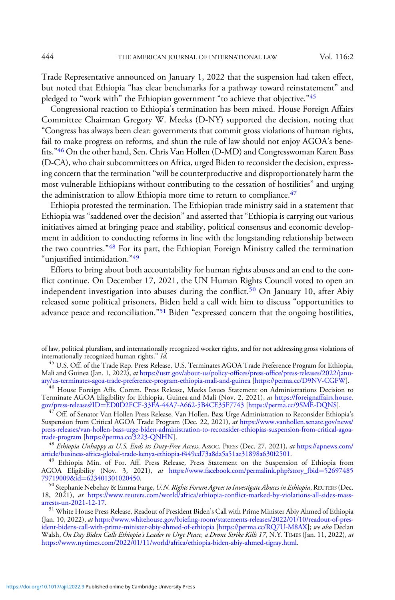Trade Representative announced on January 1, 2022 that the suspension had taken effect, but noted that Ethiopia "has clear benchmarks for a pathway toward reinstatement" and pledged to "work with" the Ethiopian government "to achieve that objective."<sup>45</sup>

Congressional reaction to Ethiopia's termination has been mixed. House Foreign Affairs Committee Chairman Gregory W. Meeks (D-NY) supported the decision, noting that "Congress has always been clear: governments that commit gross violations of human rights, fail to make progress on reforms, and shun the rule of law should not enjoy AGOA's benefits."<sup>46</sup> On the other hand, Sen. Chris Van Hollen (D-MD) and Congresswoman Karen Bass (D-CA), who chair subcommittees on Africa, urged Biden to reconsider the decision, expressing concern that the termination "will be counterproductive and disproportionately harm the most vulnerable Ethiopians without contributing to the cessation of hostilities" and urging the administration to allow Ethiopia more time to return to compliance.  $47$ 

Ethiopia protested the termination. The Ethiopian trade ministry said in a statement that Ethiopia was "saddened over the decision" and asserted that "Ethiopia is carrying out various initiatives aimed at bringing peace and stability, political consensus and economic development in addition to conducting reforms in line with the longstanding relationship between the two countries.<sup>"48</sup> For its part, the Ethiopian Foreign Ministry called the termination "unjustified intimidation."49

Efforts to bring about both accountability for human rights abuses and an end to the conflict continue. On December 17, 2021, the UN Human Rights Council voted to open an independent investigation into abuses during the conflict.<sup>50</sup> On January 10, after Abiy released some political prisoners, Biden held a call with him to discuss "opportunities to advance peace and reconciliation."<sup>51</sup> Biden "expressed concern that the ongoing hostilities,

<sup>46</sup> House Foreign Affs. Comm. Press Release, Meeks Issues Statement on Administrations Decision to Terminate AGOA Eligibility for Ethiopia, Guinea and Mali (Nov. 2, 2021), at [https://foreignaffairs.house.](https://foreignaffairs.house.gov/press-releases?ID=ED0D2FCF-33FA-44A7-A662-5B4CE35F7743) [gov/press-releases?ID](https://foreignaffairs.house.gov/press-releases?ID=ED0D2FCF-33FA-44A7-A662-5B4CE35F7743)=[ED0D2FCF-33FA-44A7-A662-5B4CE35F7743](https://foreignaffairs.house.gov/press-releases?ID=ED0D2FCF-33FA-44A7-A662-5B4CE35F7743) [<https://perma.cc/9SME-DQNS>].

 $^{47}$  Off. of Senator Van Hollen Press Release, Van Hollen, Bass Urge Administration to Reconsider Ethiopia's Suspension from Critical AGOA Trade Program (Dec. 22, 2021), at [https://www.vanhollen.senate.gov/news/](https://www.vanhollen.senate.gov/news/press-releases/van-hollen-bass-urge-biden-administration-to-reconsider-ethiopias-suspension-from-critical-agoa-trade-program) [press-releases/van-hollen-bass-urge-biden-administration-to-reconsider-ethiopias-suspension-from-critical-agoa-](https://www.vanhollen.senate.gov/news/press-releases/van-hollen-bass-urge-biden-administration-to-reconsider-ethiopias-suspension-from-critical-agoa-trade-program)

<sup>48</sup> Ethiopia Unhappy as U.S. Ends its Duty-Free Access, Assoc. PRESS (Dec. 27, 2021), at [https://apnews.com/](https://apnews.com/article/business-africa-global-trade-kenya-ethiopia-f449cd73a8da5a51ae31898a630f2501?utm_source=dailybrief&utm_medium=email&utm_campaign=DailyBrief2021Dec28&utm_term=DailyNewsBrief)<br>article/business-africa-global-trade-kenya-ethiopia-f449cd73a8da5a51ae31898a630f2501.

<sup>49</sup> Ethiopia Min. of For. Aff. Press Release, Press Statement on the Suspension of Ethiopia from AGOA Eligibility (Nov. 3, 2021), at [https://www.facebook.com/permalink.php?story\\_fbid](https://www.facebook.com/permalink.php?story_fbid=5269748579719009&id=623401301020450)=[52697485](https://www.facebook.com/permalink.php?story_fbid=5269748579719009&id=623401301020450)<br>79719009&id=623401301020450.

<sup>50</sup> Stephanie Nebehay & Emma Farge, U.N. Rights Forum Agrees to Investigate Abuses in Ethiopia, REUTERS (Dec. 18, 2021), at [https://www.reuters.com/world/africa/ethiopia-con](https://www.reuters.com/world/africa/ethiopia-conflict-marked-by-violations-all-sides-mass-arrests-un-2021-12-17/)flict-marked-by-violations-all-sides-mass-arrests-un-2021-12-17.

<sup>51</sup> White House Press Release, Readout of President Biden's Call with Prime Minister Abiy Ahmed of Ethiopia (Jan. 10, 2022), at [https:/](https://www.whitehouse.gov/briefing-room/statements-releases/2022/01/10/readout-of-president-bidens-call-with-prime-minister-abiy-ahmed-of-ethiopia/)/www.whitehouse.gov/briefi[ng-room/statements-releases/2022/01/10/readout-of-pres](https://www.whitehouse.gov/briefing-room/statements-releases/2022/01/10/readout-of-president-bidens-call-with-prime-minister-abiy-ahmed-of-ethiopia/)[ident-bidens-call-with-prime-minister-abiy-ahmed-of-ethiopia](https://www.whitehouse.gov/briefing-room/statements-releases/2022/01/10/readout-of-president-bidens-call-with-prime-minister-abiy-ahmed-of-ethiopia/) [<https://perma.cc/RQ7U-M8AX>]; see also Declan Walsh, On Day Biden Calls Ethiopia's Leader to Urge Peace, a Drone Strike Kills 17, N.Y. TIMES (Jan. 11, 2022), at <https://www.nytimes.com/2022/01/11/world/africa/ethiopia-biden-abiy-ahmed-tigray.html>.

of law, political pluralism, and internationally recognized worker rights, and for not addressing gross violations of internationally recognized human rights." Id.

<sup>&</sup>lt;sup>45</sup> U.S. Off. of the Trade Rep. Press Release, U.S. Terminates AGOA Trade Preference Program for Ethiopia, Mali and Guinea (Jan. 1, 2022), at [https://ustr.gov/about-us/policy-of](https://ustr.gov/about-us/policy-offices/press-office/press-releases/2022/january/us-terminates-agoa-trade-preference-program-ethiopia-mali-and-guinea)fices/press-office/press-releases/2022/janu-<br>ary/us-terminates-agoa-trade-preference-program-ethiopia-mali-and-guinea [https://perma.cc/D9NV-CGFW].